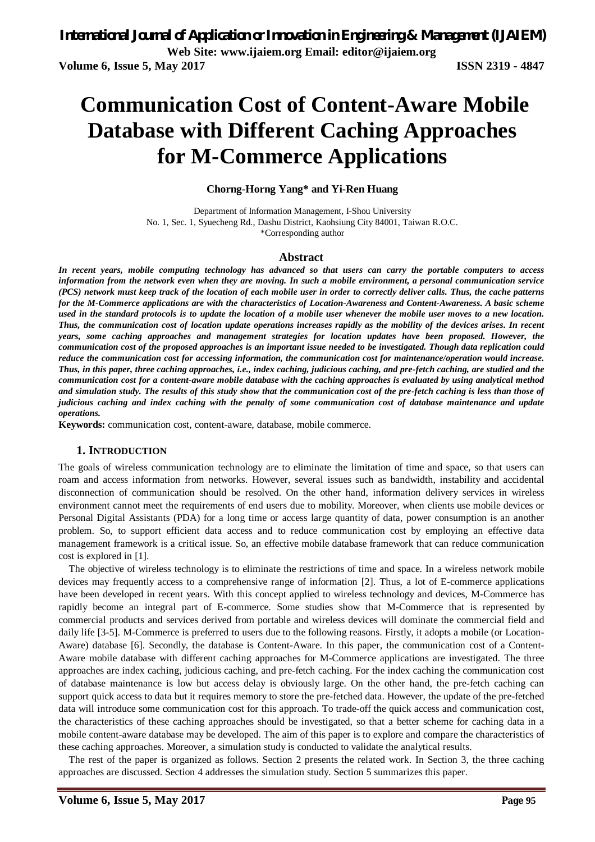# **Communication Cost of Content-Aware Mobile Database with Different Caching Approaches for M-Commerce Applications**

#### **Chorng-Horng Yang\* and Yi-Ren Huang**

Department of Information Management, I-Shou University No. 1, Sec. 1, Syuecheng Rd., Dashu District, Kaohsiung City 84001, Taiwan R.O.C. \*Corresponding author

#### **Abstract**

*In recent years, mobile computing technology has advanced so that users can carry the portable computers to access information from the network even when they are moving. In such a mobile environment, a personal communication service (PCS) network must keep track of the location of each mobile user in order to correctly deliver calls. Thus, the cache patterns for the M-Commerce applications are with the characteristics of Location-Awareness and Content-Awareness. A basic scheme used in the standard protocols is to update the location of a mobile user whenever the mobile user moves to a new location. Thus, the communication cost of location update operations increases rapidly as the mobility of the devices arises. In recent years, some caching approaches and management strategies for location updates have been proposed. However, the communication cost of the proposed approaches is an important issue needed to be investigated. Though data replication could reduce the communication cost for accessing information, the communication cost for maintenance/operation would increase. Thus, in this paper, three caching approaches, i.e., index caching, judicious caching, and pre-fetch caching, are studied and the communication cost for a content-aware mobile database with the caching approaches is evaluated by using analytical method and simulation study. The results of this study show that the communication cost of the pre-fetch caching is less than those of judicious caching and index caching with the penalty of some communication cost of database maintenance and update operations.* 

**Keywords:** communication cost, content-aware, database, mobile commerce.

#### **1. INTRODUCTION**

The goals of wireless communication technology are to eliminate the limitation of time and space, so that users can roam and access information from networks. However, several issues such as bandwidth, instability and accidental disconnection of communication should be resolved. On the other hand, information delivery services in wireless environment cannot meet the requirements of end users due to mobility. Moreover, when clients use mobile devices or Personal Digital Assistants (PDA) for a long time or access large quantity of data, power consumption is an another problem. So, to support efficient data access and to reduce communication cost by employing an effective data management framework is a critical issue. So, an effective mobile database framework that can reduce communication cost is explored in [1].

The objective of wireless technology is to eliminate the restrictions of time and space. In a wireless network mobile devices may frequently access to a comprehensive range of information [2]. Thus, a lot of E-commerce applications have been developed in recent years. With this concept applied to wireless technology and devices, M-Commerce has rapidly become an integral part of E-commerce. Some studies show that M-Commerce that is represented by commercial products and services derived from portable and wireless devices will dominate the commercial field and daily life [3-5]. M-Commerce is preferred to users due to the following reasons. Firstly, it adopts a mobile (or Location-Aware) database [6]. Secondly, the database is Content-Aware. In this paper, the communication cost of a Content-Aware mobile database with different caching approaches for M-Commerce applications are investigated. The three approaches are index caching, judicious caching, and pre-fetch caching. For the index caching the communication cost of database maintenance is low but access delay is obviously large. On the other hand, the pre-fetch caching can support quick access to data but it requires memory to store the pre-fetched data. However, the update of the pre-fetched data will introduce some communication cost for this approach. To trade-off the quick access and communication cost, the characteristics of these caching approaches should be investigated, so that a better scheme for caching data in a mobile content-aware database may be developed. The aim of this paper is to explore and compare the characteristics of these caching approaches. Moreover, a simulation study is conducted to validate the analytical results.

The rest of the paper is organized as follows. Section 2 presents the related work. In Section 3, the three caching approaches are discussed. Section 4 addresses the simulation study. Section 5 summarizes this paper.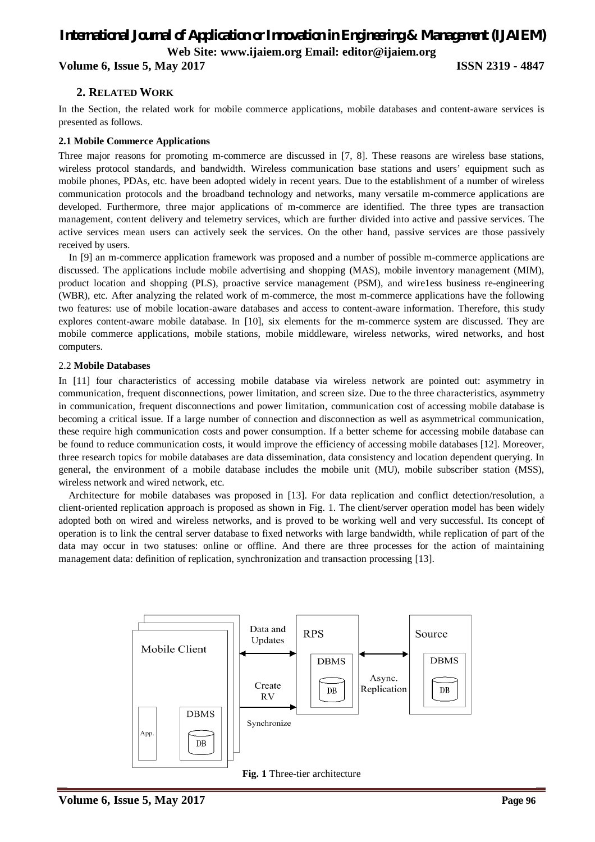**Volume 6, Issue 5, May 2017 ISSN 2319 - 4847**

### **2. RELATED WORK**

In the Section, the related work for mobile commerce applications, mobile databases and content-aware services is presented as follows.

#### **2.1 Mobile Commerce Applications**

Three major reasons for promoting m-commerce are discussed in [7, 8]. These reasons are wireless base stations, wireless protocol standards, and bandwidth. Wireless communication base stations and users' equipment such as mobile phones, PDAs, etc. have been adopted widely in recent years. Due to the establishment of a number of wireless communication protocols and the broadband technology and networks, many versatile m-commerce applications are developed. Furthermore, three major applications of m-commerce are identified. The three types are transaction management, content delivery and telemetry services, which are further divided into active and passive services. The active services mean users can actively seek the services. On the other hand, passive services are those passively received by users.

In [9] an m-commerce application framework was proposed and a number of possible m-commerce applications are discussed. The applications include mobile advertising and shopping (MAS), mobile inventory management (MIM), product location and shopping (PLS), proactive service management (PSM), and wire1ess business re-engineering (WBR), etc. After analyzing the related work of m-commerce, the most m-commerce applications have the following two features: use of mobile location-aware databases and access to content-aware information. Therefore, this study explores content-aware mobile database. In [10], six elements for the m-commerce system are discussed. They are mobile commerce applications, mobile stations, mobile middleware, wireless networks, wired networks, and host computers.

#### 2.2 **Mobile Databases**

In [11] four characteristics of accessing mobile database via wireless network are pointed out: asymmetry in communication, frequent disconnections, power limitation, and screen size. Due to the three characteristics, asymmetry in communication, frequent disconnections and power limitation, communication cost of accessing mobile database is becoming a critical issue. If a large number of connection and disconnection as well as asymmetrical communication, these require high communication costs and power consumption. If a better scheme for accessing mobile database can be found to reduce communication costs, it would improve the efficiency of accessing mobile databases [12]. Moreover, three research topics for mobile databases are data dissemination, data consistency and location dependent querying. In general, the environment of a mobile database includes the mobile unit (MU), mobile subscriber station (MSS), wireless network and wired network, etc.

Architecture for mobile databases was proposed in [13]. For data replication and conflict detection/resolution, a client-oriented replication approach is proposed as shown in Fig. 1. The client/server operation model has been widely adopted both on wired and wireless networks, and is proved to be working well and very successful. Its concept of operation is to link the central server database to fixed networks with large bandwidth, while replication of part of the data may occur in two statuses: online or offline. And there are three processes for the action of maintaining management data: definition of replication, synchronization and transaction processing [13].



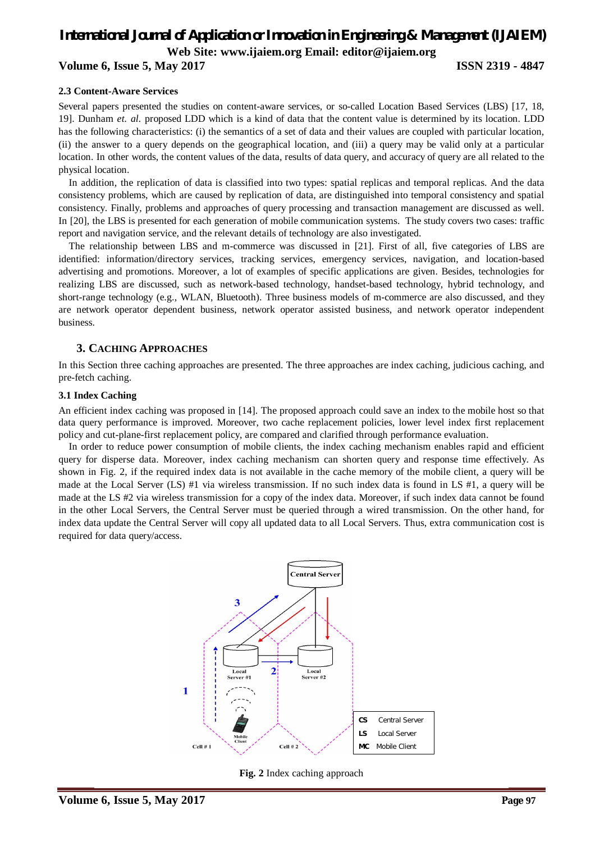## **Volume 6, Issue 5, May 2017 ISSN 2319 - 4847**

#### **2.3 Content-Aware Services**

Several papers presented the studies on content-aware services, or so-called Location Based Services (LBS) [17, 18, 19]. Dunham *et. al.* proposed LDD which is a kind of data that the content value is determined by its location. LDD has the following characteristics: (i) the semantics of a set of data and their values are coupled with particular location, (ii) the answer to a query depends on the geographical location, and (iii) a query may be valid only at a particular location. In other words, the content values of the data, results of data query, and accuracy of query are all related to the physical location.

In addition, the replication of data is classified into two types: spatial replicas and temporal replicas. And the data consistency problems, which are caused by replication of data, are distinguished into temporal consistency and spatial consistency. Finally, problems and approaches of query processing and transaction management are discussed as well. In [20], the LBS is presented for each generation of mobile communication systems. The study covers two cases: traffic report and navigation service, and the relevant details of technology are also investigated.

The relationship between LBS and m-commerce was discussed in [21]. First of all, five categories of LBS are identified: information/directory services, tracking services, emergency services, navigation, and location-based advertising and promotions. Moreover, a lot of examples of specific applications are given. Besides, technologies for realizing LBS are discussed, such as network-based technology, handset-based technology, hybrid technology, and short-range technology (e.g., WLAN, Bluetooth). Three business models of m-commerce are also discussed, and they are network operator dependent business, network operator assisted business, and network operator independent business.

### **3. CACHING APPROACHES**

In this Section three caching approaches are presented. The three approaches are index caching, judicious caching, and pre-fetch caching.

#### **3.1 Index Caching**

An efficient index caching was proposed in [14]. The proposed approach could save an index to the mobile host so that data query performance is improved. Moreover, two cache replacement policies, lower level index first replacement policy and cut-plane-first replacement policy, are compared and clarified through performance evaluation.

In order to reduce power consumption of mobile clients, the index caching mechanism enables rapid and efficient query for disperse data. Moreover, index caching mechanism can shorten query and response time effectively. As shown in Fig. 2, if the required index data is not available in the cache memory of the mobile client, a query will be made at the Local Server (LS) #1 via wireless transmission. If no such index data is found in LS #1, a query will be made at the LS #2 via wireless transmission for a copy of the index data. Moreover, if such index data cannot be found in the other Local Servers, the Central Server must be queried through a wired transmission. On the other hand, for index data update the Central Server will copy all updated data to all Local Servers. Thus, extra communication cost is required for data query/access.



**Fig. 2** Index caching approach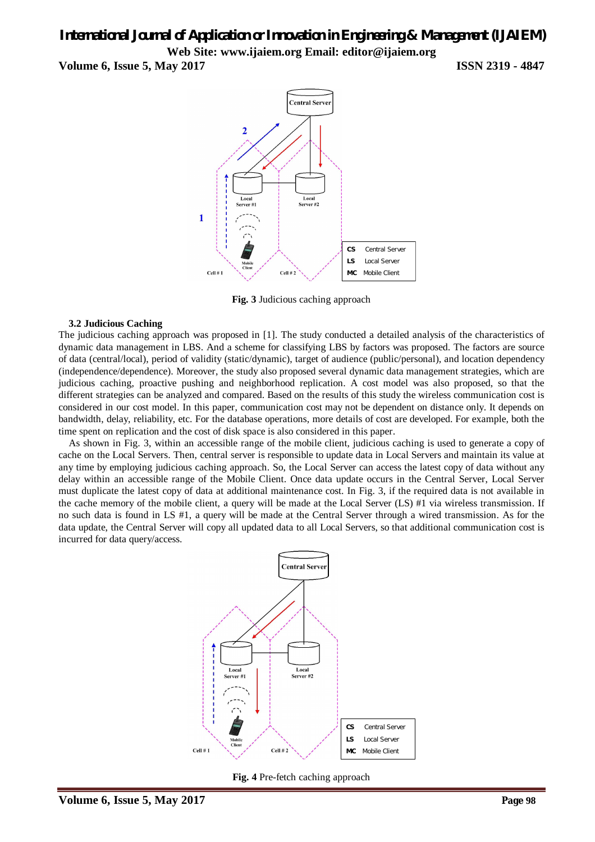**Volume 6, Issue 5, May 2017 ISSN 2319 - 4847**



**Fig. 3** Judicious caching approach

#### **3.2 Judicious Caching**

The judicious caching approach was proposed in [1]. The study conducted a detailed analysis of the characteristics of dynamic data management in LBS. And a scheme for classifying LBS by factors was proposed. The factors are source of data (central/local), period of validity (static/dynamic), target of audience (public/personal), and location dependency (independence/dependence). Moreover, the study also proposed several dynamic data management strategies, which are judicious caching, proactive pushing and neighborhood replication. A cost model was also proposed, so that the different strategies can be analyzed and compared. Based on the results of this study the wireless communication cost is considered in our cost model. In this paper, communication cost may not be dependent on distance only. It depends on bandwidth, delay, reliability, etc. For the database operations, more details of cost are developed. For example, both the time spent on replication and the cost of disk space is also considered in this paper.

As shown in Fig. 3, within an accessible range of the mobile client, judicious caching is used to generate a copy of cache on the Local Servers. Then, central server is responsible to update data in Local Servers and maintain its value at any time by employing judicious caching approach. So, the Local Server can access the latest copy of data without any delay within an accessible range of the Mobile Client. Once data update occurs in the Central Server, Local Server must duplicate the latest copy of data at additional maintenance cost. In Fig. 3, if the required data is not available in the cache memory of the mobile client, a query will be made at the Local Server (LS) #1 via wireless transmission. If no such data is found in LS #1, a query will be made at the Central Server through a wired transmission. As for the data update, the Central Server will copy all updated data to all Local Servers, so that additional communication cost is incurred for data query/access.



**Fig. 4** Pre-fetch caching approach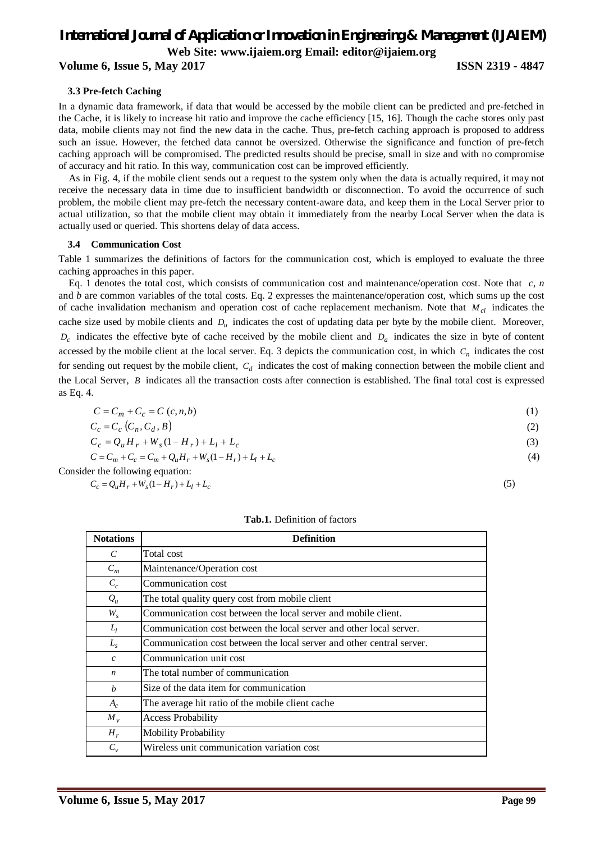### **Volume 6, Issue 5, May 2017 ISSN 2319 - 4847**

#### **3.3 Pre-fetch Caching**

In a dynamic data framework, if data that would be accessed by the mobile client can be predicted and pre-fetched in the Cache, it is likely to increase hit ratio and improve the cache efficiency [15, 16]. Though the cache stores only past data, mobile clients may not find the new data in the cache. Thus, pre-fetch caching approach is proposed to address such an issue. However, the fetched data cannot be oversized. Otherwise the significance and function of pre-fetch caching approach will be compromised. The predicted results should be precise, small in size and with no compromise of accuracy and hit ratio. In this way, communication cost can be improved efficiently.

As in Fig. 4, if the mobile client sends out a request to the system only when the data is actually required, it may not receive the necessary data in time due to insufficient bandwidth or disconnection. To avoid the occurrence of such problem, the mobile client may pre-fetch the necessary content-aware data, and keep them in the Local Server prior to actual utilization, so that the mobile client may obtain it immediately from the nearby Local Server when the data is actually used or queried. This shortens delay of data access.

#### **3.4 Communication Cost**

Table 1 summarizes the definitions of factors for the communication cost, which is employed to evaluate the three caching approaches in this paper.

Eq. 1 denotes the total cost, which consists of communication cost and maintenance/operation cost. Note that *c*, *n* and *b* are common variables of the total costs. Eq. 2 expresses the maintenance/operation cost, which sums up the cost of cache invalidation mechanism and operation cost of cache replacement mechanism. Note that *Mci* indicates the cache size used by mobile clients and *D<sup>u</sup>* indicates the cost of updating data per byte by the mobile client. Moreover,  $D_c$  indicates the effective byte of cache received by the mobile client and  $D_a$  indicates the size in byte of content accessed by the mobile client at the local server. Eq. 3 depicts the communication cost, in which  $C<sub>n</sub>$  indicates the cost for sending out request by the mobile client,  $C_d$  indicates the cost of making connection between the mobile client and the Local Server, *B* indicates all the transaction costs after connection is established. The final total cost is expressed as Eq. 4.

$$
C = C_m + C_c = C(c, n, b) \tag{1}
$$

$$
C_c = C_c (C_n, C_d, B)
$$
  
\n
$$
C_c = Q_u H_r + W_s (1 - H_r) + L_l + L_c
$$
\n(2)

$$
C_c = C_m + C_c = C_m + Q_u H_r + W_s (1 - H_r) + L_l + L_c
$$
\n(4)

Consider the following equation:

 $C_c = Q_u H_r + W_s (1 - H_r) + L_l + L_c$ (5)

| <b>Tab.1.</b> Definition of factors |  |  |  |
|-------------------------------------|--|--|--|
|-------------------------------------|--|--|--|

| <b>Notations</b> | <b>Definition</b>                                                     |
|------------------|-----------------------------------------------------------------------|
| $\mathcal{C}$    | Total cost                                                            |
| $C_m$            | Maintenance/Operation cost                                            |
| $C_c$            | Communication cost                                                    |
| $Q_{\mu}$        | The total quality query cost from mobile client                       |
| $W_{s}$          | Communication cost between the local server and mobile client.        |
| $L_l$            | Communication cost between the local server and other local server.   |
| $L_{\rm s}$      | Communication cost between the local server and other central server. |
| $\mathcal{C}$    | Communication unit cost                                               |
| $\boldsymbol{n}$ | The total number of communication                                     |
| $\boldsymbol{b}$ | Size of the data item for communication                               |
| $A_c$            | The average hit ratio of the mobile client cache                      |
| $M_{v}$          | <b>Access Probability</b>                                             |
| $H_r$            | <b>Mobility Probability</b>                                           |
| $C_v$            | Wireless unit communication variation cost                            |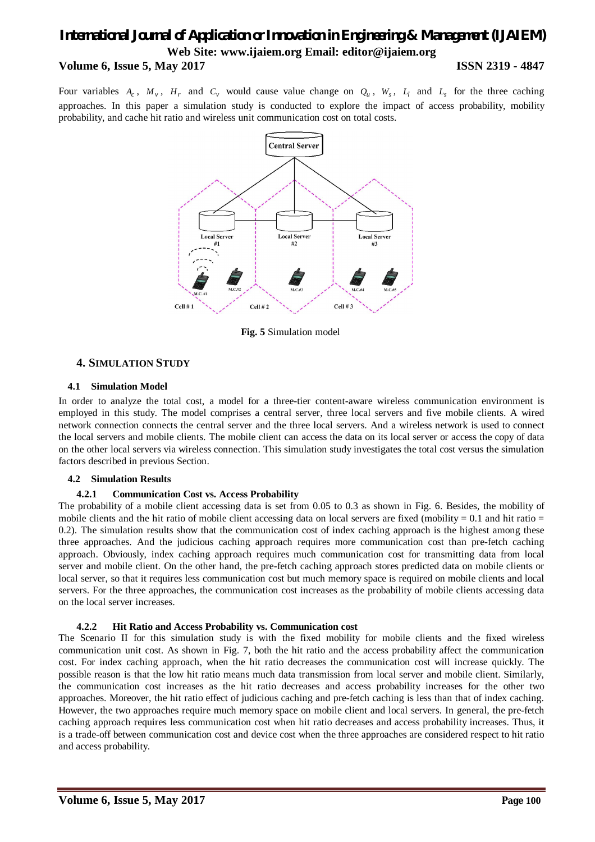# *International Journal of Application or Innovation in Engineering & Management (IJAIEM)* **Web Site: www.ijaiem.org Email: editor@ijaiem.org Volume 6, Issue 5, May 2017 ISSN 2319 - 4847**

Four variables  $A_c$ ,  $M_v$ ,  $H_r$  and  $C_v$  would cause value change on  $Q_u$ ,  $W_s$ ,  $L_l$  and  $L_s$  for the three caching approaches. In this paper a simulation study is conducted to explore the impact of access probability, mobility probability, and cache hit ratio and wireless unit communication cost on total costs.



**Fig. 5** Simulation model

### **4. SIMULATION STUDY**

#### **4.1 Simulation Model**

In order to analyze the total cost, a model for a three-tier content-aware wireless communication environment is employed in this study. The model comprises a central server, three local servers and five mobile clients. A wired network connection connects the central server and the three local servers. And a wireless network is used to connect the local servers and mobile clients. The mobile client can access the data on its local server or access the copy of data on the other local servers via wireless connection. This simulation study investigates the total cost versus the simulation factors described in previous Section.

#### **4.2 Simulation Results**

#### **4.2.1 Communication Cost vs. Access Probability**

The probability of a mobile client accessing data is set from 0.05 to 0.3 as shown in Fig. 6. Besides, the mobility of mobile clients and the hit ratio of mobile client accessing data on local servers are fixed (mobility  $= 0.1$  and hit ratio  $=$ 0.2). The simulation results show that the communication cost of index caching approach is the highest among these three approaches. And the judicious caching approach requires more communication cost than pre-fetch caching approach. Obviously, index caching approach requires much communication cost for transmitting data from local server and mobile client. On the other hand, the pre-fetch caching approach stores predicted data on mobile clients or local server, so that it requires less communication cost but much memory space is required on mobile clients and local servers. For the three approaches, the communication cost increases as the probability of mobile clients accessing data on the local server increases.

#### **4.2.2 Hit Ratio and Access Probability vs. Communication cost**

The Scenario II for this simulation study is with the fixed mobility for mobile clients and the fixed wireless communication unit cost. As shown in Fig. 7, both the hit ratio and the access probability affect the communication cost. For index caching approach, when the hit ratio decreases the communication cost will increase quickly. The possible reason is that the low hit ratio means much data transmission from local server and mobile client. Similarly, the communication cost increases as the hit ratio decreases and access probability increases for the other two approaches. Moreover, the hit ratio effect of judicious caching and pre-fetch caching is less than that of index caching. However, the two approaches require much memory space on mobile client and local servers. In general, the pre-fetch caching approach requires less communication cost when hit ratio decreases and access probability increases. Thus, it is a trade-off between communication cost and device cost when the three approaches are considered respect to hit ratio and access probability.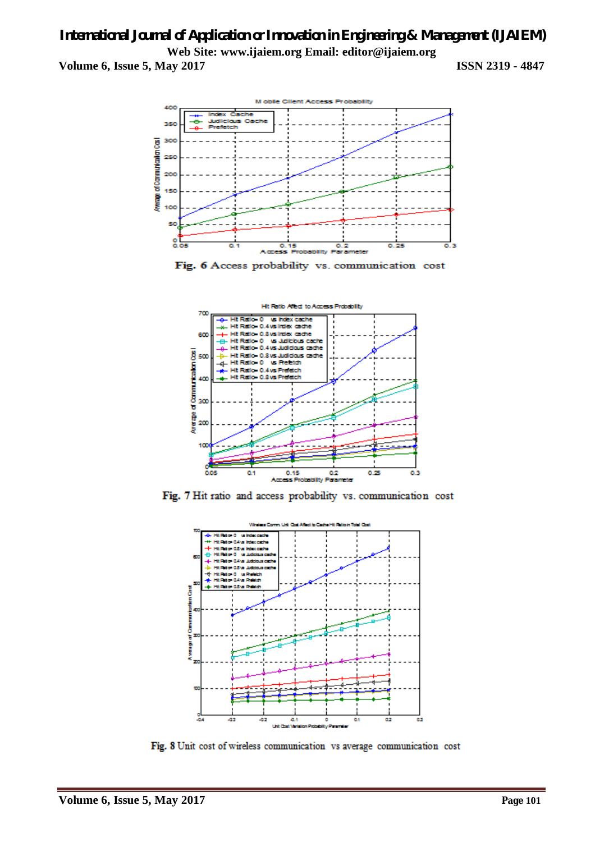



Fig. 6 Access probability vs. communication cost



Fig. 7 Hit ratio and access probability vs. communication cost



Fig. 8 Unit cost of wireless communication vs average communication cost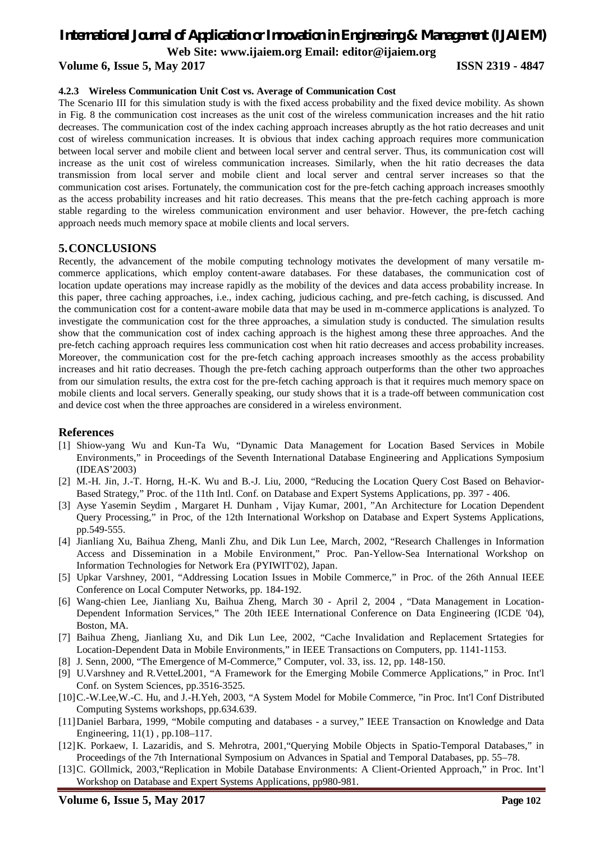# *International Journal of Application or Innovation in Engineering & Management (IJAIEM)*

**Web Site: www.ijaiem.org Email: editor@ijaiem.org**

**Volume 6, Issue 5, May 2017 ISSN 2319 - 4847**

#### **4.2.3 Wireless Communication Unit Cost vs. Average of Communication Cost**

The Scenario III for this simulation study is with the fixed access probability and the fixed device mobility. As shown in Fig. 8 the communication cost increases as the unit cost of the wireless communication increases and the hit ratio decreases. The communication cost of the index caching approach increases abruptly as the hot ratio decreases and unit cost of wireless communication increases. It is obvious that index caching approach requires more communication between local server and mobile client and between local server and central server. Thus, its communication cost will increase as the unit cost of wireless communication increases. Similarly, when the hit ratio decreases the data transmission from local server and mobile client and local server and central server increases so that the communication cost arises. Fortunately, the communication cost for the pre-fetch caching approach increases smoothly as the access probability increases and hit ratio decreases. This means that the pre-fetch caching approach is more stable regarding to the wireless communication environment and user behavior. However, the pre-fetch caching approach needs much memory space at mobile clients and local servers.

### **5.CONCLUSIONS**

Recently, the advancement of the mobile computing technology motivates the development of many versatile mcommerce applications, which employ content-aware databases. For these databases, the communication cost of location update operations may increase rapidly as the mobility of the devices and data access probability increase. In this paper, three caching approaches, i.e., index caching, judicious caching, and pre-fetch caching, is discussed. And the communication cost for a content-aware mobile data that may be used in m-commerce applications is analyzed. To investigate the communication cost for the three approaches, a simulation study is conducted. The simulation results show that the communication cost of index caching approach is the highest among these three approaches. And the pre-fetch caching approach requires less communication cost when hit ratio decreases and access probability increases. Moreover, the communication cost for the pre-fetch caching approach increases smoothly as the access probability increases and hit ratio decreases. Though the pre-fetch caching approach outperforms than the other two approaches from our simulation results, the extra cost for the pre-fetch caching approach is that it requires much memory space on mobile clients and local servers. Generally speaking, our study shows that it is a trade-off between communication cost and device cost when the three approaches are considered in a wireless environment.

### **References**

- [1] Shiow-yang Wu and Kun-Ta Wu, "Dynamic Data Management for Location Based Services in Mobile Environments," in Proceedings of the Seventh International Database Engineering and Applications Symposium (IDEAS'2003)
- [2] M.-H. Jin, J.-T. Horng, H.-K. Wu and B.-J. Liu, 2000, "Reducing the Location Query Cost Based on Behavior-Based Strategy," Proc. of the 11th Intl. Conf. on Database and Expert Systems Applications, pp. 397 - 406.
- [3] Ayse Yasemin Seydim , Margaret H. Dunham , Vijay Kumar, 2001, "An Architecture for Location Dependent Query Processing," in Proc, of the 12th International Workshop on Database and Expert Systems Applications, pp.549-555.
- [4] Jianliang Xu, Baihua Zheng, Manli Zhu, and Dik Lun Lee, March, 2002, "Research Challenges in Information Access and Dissemination in a Mobile Environment," Proc. Pan-Yellow-Sea International Workshop on Information Technologies for Network Era (PYIWIT'02), Japan.
- [5] Upkar Varshney, 2001, "Addressing Location Issues in Mobile Commerce," in Proc. of the 26th Annual IEEE Conference on Local Computer Networks, pp. 184-192.
- [6] Wang-chien Lee, Jianliang Xu, Baihua Zheng, March 30 April 2, 2004 , "Data Management in Location-Dependent Information Services," The 20th IEEE International Conference on Data Engineering (ICDE '04), Boston, MA.
- [7] Baihua Zheng, Jianliang Xu, and Dik Lun Lee, 2002, "Cache Invalidation and Replacement Srtategies for Location-Dependent Data in Mobile Environments," in IEEE Transactions on Computers, pp. 1141-1153.
- [8] J. Senn, 2000, "The Emergence of M-Commerce," Computer, vol. 33, iss. 12, pp. 148-150.
- [9] U.Varshney and R.VetteL2001, "A Framework for the Emerging Mobile Commerce Applications," in Proc. Int'l Conf. on System Sciences, pp.3516-3525.
- [10]C.-W.Lee,W.-C. Hu, and J.-H.Yeh, 2003, "A System Model for Mobile Commerce, "in Proc. Int'l Conf Distributed Computing Systems workshops, pp.634.639.
- [11]Daniel Barbara, 1999, "Mobile computing and databases a survey," IEEE Transaction on Knowledge and Data Engineering, 11(1) , pp.108–117.
- [12]K. Porkaew, I. Lazaridis, and S. Mehrotra, 2001,"Querying Mobile Objects in Spatio-Temporal Databases," in Proceedings of the 7th International Symposium on Advances in Spatial and Temporal Databases, pp. 55–78.
- [13]C. GOllmick, 2003,"Replication in Mobile Database Environments: A Client-Oriented Approach," in Proc. Int'l Workshop on Database and Expert Systems Applications, pp980-981.